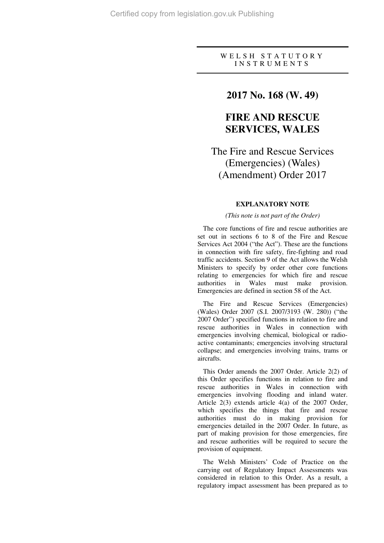### W E L S H S T A T U T O R Y I N S T R U M E N T S

### **2017 No. 168 (W. 49)**

## **FIRE AND RESCUE SERVICES, WALES**

# The Fire and Rescue Services (Emergencies) (Wales) (Amendment) Order 2017

### **EXPLANATORY NOTE**

### *(This note is not part of the Order)*

The core functions of fire and rescue authorities are set out in sections 6 to 8 of the Fire and Rescue Services Act 2004 ("the Act"). These are the functions in connection with fire safety, fire-fighting and road traffic accidents. Section 9 of the Act allows the Welsh Ministers to specify by order other core functions relating to emergencies for which fire and rescue authorities in Wales must make provision. Emergencies are defined in section 58 of the Act.

The Fire and Rescue Services (Emergencies) (Wales) Order 2007 (S.I. 2007/3193 (W. 280)) ("the 2007 Order") specified functions in relation to fire and rescue authorities in Wales in connection with emergencies involving chemical, biological or radioactive contaminants; emergencies involving structural collapse; and emergencies involving trains, trams or aircrafts.

This Order amends the 2007 Order. Article 2(2) of this Order specifies functions in relation to fire and rescue authorities in Wales in connection with emergencies involving flooding and inland water. Article 2(3) extends article 4(a) of the 2007 Order, which specifies the things that fire and rescue authorities must do in making provision for emergencies detailed in the 2007 Order. In future, as part of making provision for those emergencies, fire and rescue authorities will be required to secure the provision of equipment.

The Welsh Ministers' Code of Practice on the carrying out of Regulatory Impact Assessments was considered in relation to this Order. As a result, a regulatory impact assessment has been prepared as to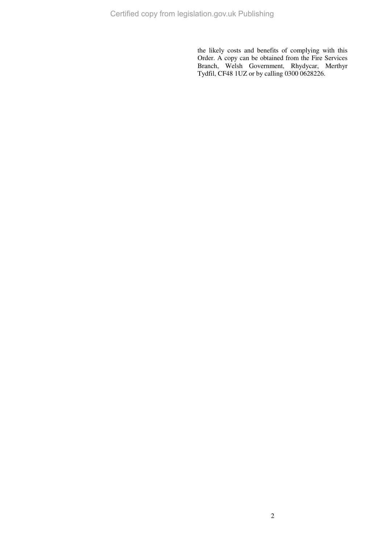the likely costs and benefits of complying with this Order. A copy can be obtained from the Fire Services Branch, Welsh Government, Rhydycar, Merthyr Tydfil, CF48 1UZ or by calling 0300 0628226.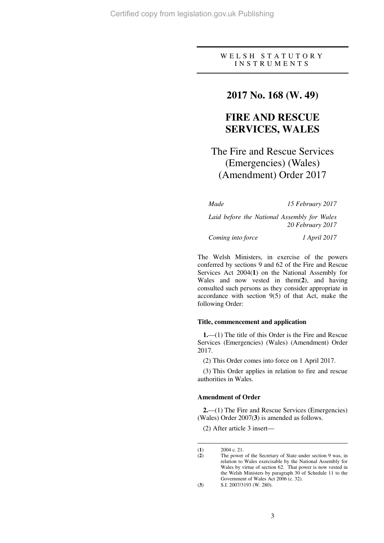### W E L S H S T A T U T O R Y I N S T R U M E N T S

### **2017 No. 168 (W. 49)**

## **FIRE AND RESCUE SERVICES, WALES**

# The Fire and Rescue Services (Emergencies) (Wales) (Amendment) Order 2017

*Made 15 February 2017* 

*Laid before the National Assembly for Wales 20 February 2017* 

*Coming into force 1 April 2017* 

The Welsh Ministers, in exercise of the powers conferred by sections 9 and 62 of the Fire and Rescue Services Act 2004(**1**) on the National Assembly for Wales and now vested in them(**2**), and having consulted such persons as they consider appropriate in accordance with section 9(5) of that Act, make the following Order:

### **Title, commencement and application**

**1.**—(1) The title of this Order is the Fire and Rescue Services (Emergencies) (Wales) (Amendment) Order 2017.

(2) This Order comes into force on 1 April 2017.

(3) This Order applies in relation to fire and rescue authorities in Wales.

#### **Amendment of Order**

**2.**—(1) The Fire and Rescue Services (Emergencies) (Wales) Order 2007(**3**) is amended as follows.

(2) After article 3 insert—

 $\overline{a}$ (**1**) 2004 c. 21.<br>(**2**) The power

The power of the Secretary of State under section 9 was, in relation to Wales exercisable by the National Assembly for Wales by virtue of section 62. That power is now vested in the Welsh Ministers by paragraph 30 of Schedule 11 to the Government of Wales Act 2006 (c. 32).

<sup>(</sup>**3**) S.I. 2007/3193 (W. 280).